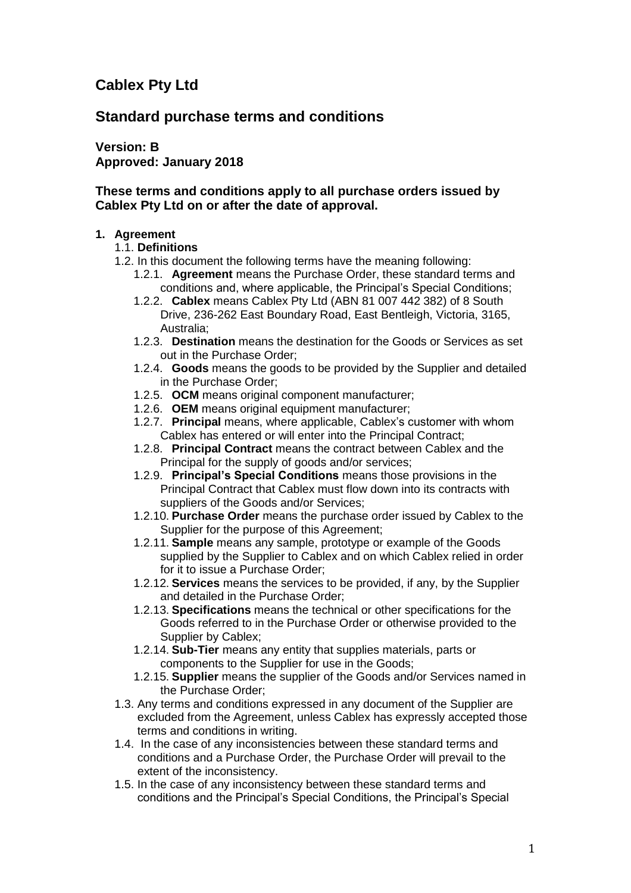# **Cablex Pty Ltd**

# **Standard purchase terms and conditions**

**Version: B Approved: January 2018**

# **These terms and conditions apply to all purchase orders issued by Cablex Pty Ltd on or after the date of approval.**

### **1. Agreement**

### 1.1. **Definitions**

- 1.2. In this document the following terms have the meaning following:
	- 1.2.1. **Agreement** means the Purchase Order, these standard terms and conditions and, where applicable, the Principal's Special Conditions;
	- 1.2.2. **Cablex** means Cablex Pty Ltd (ABN 81 007 442 382) of 8 South Drive, 236-262 East Boundary Road, East Bentleigh, Victoria, 3165, Australia;
	- 1.2.3. **Destination** means the destination for the Goods or Services as set out in the Purchase Order;
	- 1.2.4. **Goods** means the goods to be provided by the Supplier and detailed in the Purchase Order;
	- 1.2.5. **OCM** means original component manufacturer;
	- 1.2.6. **OEM** means original equipment manufacturer;
	- 1.2.7. **Principal** means, where applicable, Cablex's customer with whom Cablex has entered or will enter into the Principal Contract;
	- 1.2.8. **Principal Contract** means the contract between Cablex and the Principal for the supply of goods and/or services;
	- 1.2.9. **Principal's Special Conditions** means those provisions in the Principal Contract that Cablex must flow down into its contracts with suppliers of the Goods and/or Services;
	- 1.2.10. **Purchase Order** means the purchase order issued by Cablex to the Supplier for the purpose of this Agreement:
	- 1.2.11. **Sample** means any sample, prototype or example of the Goods supplied by the Supplier to Cablex and on which Cablex relied in order for it to issue a Purchase Order;
	- 1.2.12. **Services** means the services to be provided, if any, by the Supplier and detailed in the Purchase Order;
	- 1.2.13. **Specifications** means the technical or other specifications for the Goods referred to in the Purchase Order or otherwise provided to the Supplier by Cablex;
	- 1.2.14. **Sub-Tier** means any entity that supplies materials, parts or components to the Supplier for use in the Goods;
	- 1.2.15. **Supplier** means the supplier of the Goods and/or Services named in the Purchase Order;
- 1.3. Any terms and conditions expressed in any document of the Supplier are excluded from the Agreement, unless Cablex has expressly accepted those terms and conditions in writing.
- 1.4. In the case of any inconsistencies between these standard terms and conditions and a Purchase Order, the Purchase Order will prevail to the extent of the inconsistency.
- 1.5. In the case of any inconsistency between these standard terms and conditions and the Principal's Special Conditions, the Principal's Special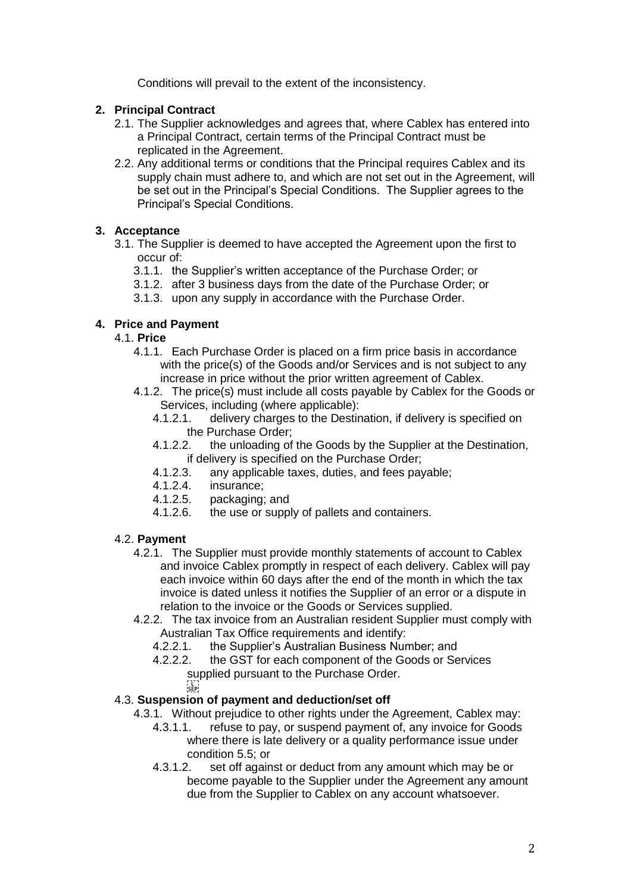Conditions will prevail to the extent of the inconsistency.

### **2. Principal Contract**

- 2.1. The Supplier acknowledges and agrees that, where Cablex has entered into a Principal Contract, certain terms of the Principal Contract must be replicated in the Agreement.
- 2.2. Any additional terms or conditions that the Principal requires Cablex and its supply chain must adhere to, and which are not set out in the Agreement, will be set out in the Principal's Special Conditions. The Supplier agrees to the Principal's Special Conditions.

# **3. Acceptance**

- 3.1. The Supplier is deemed to have accepted the Agreement upon the first to occur of:
	- 3.1.1. the Supplier's written acceptance of the Purchase Order; or
	- 3.1.2. after 3 business days from the date of the Purchase Order; or
	- 3.1.3. upon any supply in accordance with the Purchase Order.

### **4. Price and Payment**

### 4.1. **Price**

- 4.1.1. Each Purchase Order is placed on a firm price basis in accordance with the price(s) of the Goods and/or Services and is not subject to any increase in price without the prior written agreement of Cablex.
- 4.1.2. The price(s) must include all costs payable by Cablex for the Goods or Services, including (where applicable):<br>4.1.2.1. delivery charges to the Destir
	- delivery charges to the Destination, if delivery is specified on the Purchase Order;
	- 4.1.2.2. the unloading of the Goods by the Supplier at the Destination, if delivery is specified on the Purchase Order;
	- 4.1.2.3. any applicable taxes, duties, and fees payable;
	-
	- 4.1.2.4. insurance;<br>4.1.2.5. packaging; packaging; and
	- 4.1.2.6. the use or supply of pallets and containers.

### <span id="page-1-0"></span>4.2. **Payment**

- 4.2.1. The Supplier must provide monthly statements of account to Cablex and invoice Cablex promptly in respect of each delivery. Cablex will pay each invoice within 60 days after the end of the month in which the tax invoice is dated unless it notifies the Supplier of an error or a dispute in relation to the invoice or the Goods or Services supplied.
- 4.2.2. The tax invoice from an Australian resident Supplier must comply with Australian Tax Office requirements and identify:
	- 4.2.2.1. the Supplier's Australian Business Number; and 4.2.2.2. the GST for each component of the Goods or Se
	- the GST for each component of the Goods or Services supplied pursuant to the Purchase Order.
		- $\frac{1}{2}$

### 4.3. **Suspension of payment and deduction/set off**

- 4.3.1. Without prejudice to other rights under the Agreement, Cablex may:
	- 4.3.1.1. refuse to pay, or suspend payment of, any invoice for Goods where there is late delivery or a quality performance issue under condition [5.5;](#page-2-0) or
	- 4.3.1.2. set off against or deduct from any amount which may be or become payable to the Supplier under the Agreement any amount due from the Supplier to Cablex on any account whatsoever.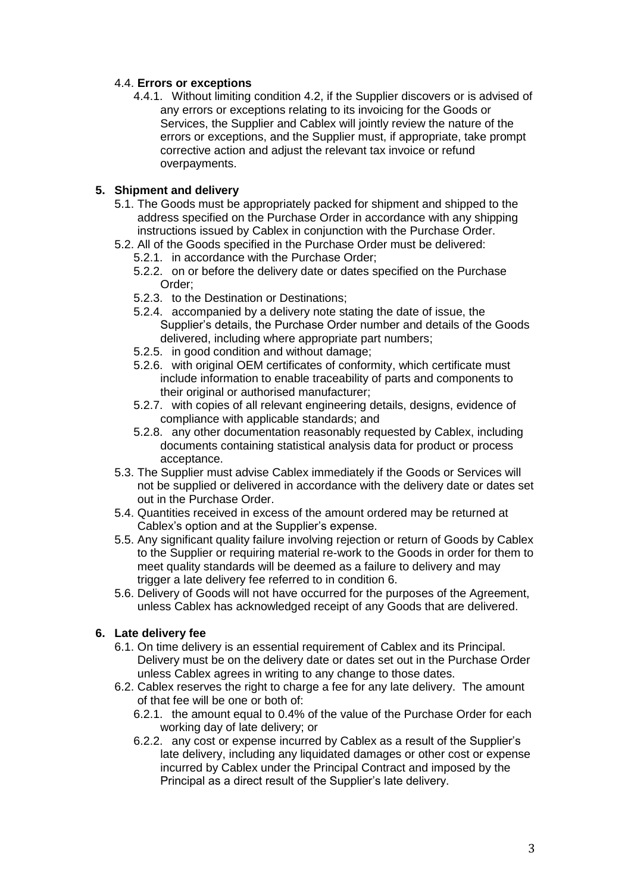# 4.4. **Errors or exceptions**

4.4.1. Without limiting condition [4.2,](#page-1-0) if the Supplier discovers or is advised of any errors or exceptions relating to its invoicing for the Goods or Services, the Supplier and Cablex will jointly review the nature of the errors or exceptions, and the Supplier must, if appropriate, take prompt corrective action and adjust the relevant tax invoice or refund overpayments.

### **5. Shipment and delivery**

- 5.1. The Goods must be appropriately packed for shipment and shipped to the address specified on the Purchase Order in accordance with any shipping instructions issued by Cablex in conjunction with the Purchase Order.
- <span id="page-2-2"></span>5.2. All of the Goods specified in the Purchase Order must be delivered:
	- 5.2.1. in accordance with the Purchase Order;
	- 5.2.2. on or before the delivery date or dates specified on the Purchase Order;
	- 5.2.3. to the Destination or Destinations;
	- 5.2.4. accompanied by a delivery note stating the date of issue, the Supplier's details, the Purchase Order number and details of the Goods delivered, including where appropriate part numbers;
	- 5.2.5. in good condition and without damage;
	- 5.2.6. with original OEM certificates of conformity, which certificate must include information to enable traceability of parts and components to their original or authorised manufacturer;
	- 5.2.7. with copies of all relevant engineering details, designs, evidence of compliance with applicable standards; and
	- 5.2.8. any other documentation reasonably requested by Cablex, including documents containing statistical analysis data for product or process acceptance.
- 5.3. The Supplier must advise Cablex immediately if the Goods or Services will not be supplied or delivered in accordance with the delivery date or dates set out in the Purchase Order.
- 5.4. Quantities received in excess of the amount ordered may be returned at Cablex's option and at the Supplier's expense.
- <span id="page-2-0"></span>5.5. Any significant quality failure involving rejection or return of Goods by Cablex to the Supplier or requiring material re-work to the Goods in order for them to meet quality standards will be deemed as a failure to delivery and may trigger a late delivery fee referred to in condition [6.](#page-2-1)
- 5.6. Delivery of Goods will not have occurred for the purposes of the Agreement, unless Cablex has acknowledged receipt of any Goods that are delivered.

# <span id="page-2-1"></span>**6. Late delivery fee**

- 6.1. On time delivery is an essential requirement of Cablex and its Principal. Delivery must be on the delivery date or dates set out in the Purchase Order unless Cablex agrees in writing to any change to those dates.
- 6.2. Cablex reserves the right to charge a fee for any late delivery. The amount of that fee will be one or both of:
	- 6.2.1. the amount equal to 0.4% of the value of the Purchase Order for each working day of late delivery; or
	- 6.2.2. any cost or expense incurred by Cablex as a result of the Supplier's late delivery, including any liquidated damages or other cost or expense incurred by Cablex under the Principal Contract and imposed by the Principal as a direct result of the Supplier's late delivery.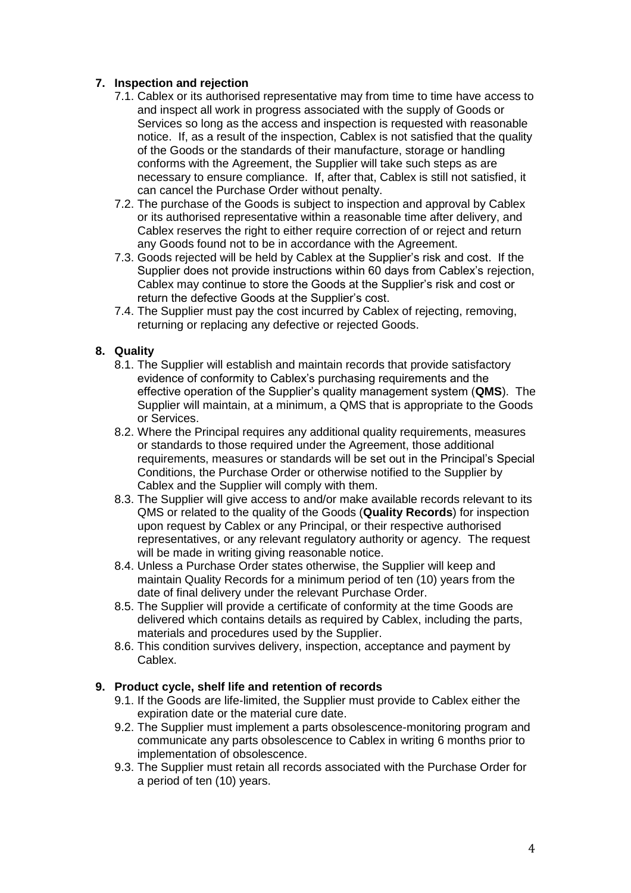# **7. Inspection and rejection**

- 7.1. Cablex or its authorised representative may from time to time have access to and inspect all work in progress associated with the supply of Goods or Services so long as the access and inspection is requested with reasonable notice. If, as a result of the inspection, Cablex is not satisfied that the quality of the Goods or the standards of their manufacture, storage or handling conforms with the Agreement, the Supplier will take such steps as are necessary to ensure compliance. If, after that, Cablex is still not satisfied, it can cancel the Purchase Order without penalty.
- 7.2. The purchase of the Goods is subject to inspection and approval by Cablex or its authorised representative within a reasonable time after delivery, and Cablex reserves the right to either require correction of or reject and return any Goods found not to be in accordance with the Agreement.
- 7.3. Goods rejected will be held by Cablex at the Supplier's risk and cost. If the Supplier does not provide instructions within 60 days from Cablex's rejection, Cablex may continue to store the Goods at the Supplier's risk and cost or return the defective Goods at the Supplier's cost.
- 7.4. The Supplier must pay the cost incurred by Cablex of rejecting, removing, returning or replacing any defective or rejected Goods.

### **8. Quality**

- 8.1. The Supplier will establish and maintain records that provide satisfactory evidence of conformity to Cablex's purchasing requirements and the effective operation of the Supplier's quality management system (**QMS**). The Supplier will maintain, at a minimum, a QMS that is appropriate to the Goods or Services.
- 8.2. Where the Principal requires any additional quality requirements, measures or standards to those required under the Agreement, those additional requirements, measures or standards will be set out in the Principal's Special Conditions, the Purchase Order or otherwise notified to the Supplier by Cablex and the Supplier will comply with them.
- 8.3. The Supplier will give access to and/or make available records relevant to its QMS or related to the quality of the Goods (**Quality Records**) for inspection upon request by Cablex or any Principal, or their respective authorised representatives, or any relevant regulatory authority or agency. The request will be made in writing giving reasonable notice.
- 8.4. Unless a Purchase Order states otherwise, the Supplier will keep and maintain Quality Records for a minimum period of ten (10) years from the date of final delivery under the relevant Purchase Order.
- 8.5. The Supplier will provide a certificate of conformity at the time Goods are delivered which contains details as required by Cablex, including the parts, materials and procedures used by the Supplier.
- 8.6. This condition survives delivery, inspection, acceptance and payment by Cablex.

### **9. Product cycle, shelf life and retention of records**

- 9.1. If the Goods are life-limited, the Supplier must provide to Cablex either the expiration date or the material cure date.
- 9.2. The Supplier must implement a parts obsolescence-monitoring program and communicate any parts obsolescence to Cablex in writing 6 months prior to implementation of obsolescence.
- 9.3. The Supplier must retain all records associated with the Purchase Order for a period of ten (10) years.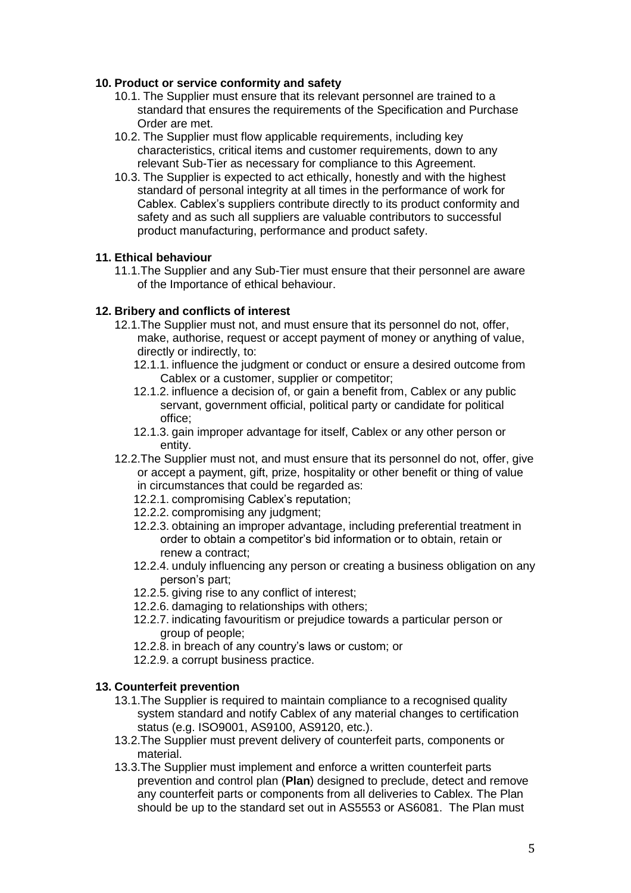### **10. Product or service conformity and safety**

- 10.1. The Supplier must ensure that its relevant personnel are trained to a standard that ensures the requirements of the Specification and Purchase Order are met.
- 10.2. The Supplier must flow applicable requirements, including key characteristics, critical items and customer requirements, down to any relevant Sub-Tier as necessary for compliance to this Agreement.
- 10.3. The Supplier is expected to act ethically, honestly and with the highest standard of personal integrity at all times in the performance of work for Cablex. Cablex's suppliers contribute directly to its product conformity and safety and as such all suppliers are valuable contributors to successful product manufacturing, performance and product safety.

### **11. Ethical behaviour**

11.1.The Supplier and any Sub-Tier must ensure that their personnel are aware of the Importance of ethical behaviour.

# **12. Bribery and conflicts of interest**

- 12.1.The Supplier must not, and must ensure that its personnel do not, offer, make, authorise, request or accept payment of money or anything of value, directly or indirectly, to:
	- 12.1.1. influence the judgment or conduct or ensure a desired outcome from Cablex or a customer, supplier or competitor;
	- 12.1.2. influence a decision of, or gain a benefit from, Cablex or any public servant, government official, political party or candidate for political office;
	- 12.1.3. gain improper advantage for itself, Cablex or any other person or entity.
- 12.2.The Supplier must not, and must ensure that its personnel do not, offer, give or accept a payment, gift, prize, hospitality or other benefit or thing of value in circumstances that could be regarded as:
	- 12.2.1. compromising Cablex's reputation;
	- 12.2.2. compromising any judgment;
	- 12.2.3. obtaining an improper advantage, including preferential treatment in order to obtain a competitor's bid information or to obtain, retain or renew a contract;
	- 12.2.4. unduly influencing any person or creating a business obligation on any person's part;
	- 12.2.5. giving rise to any conflict of interest;
	- 12.2.6. damaging to relationships with others;
	- 12.2.7. indicating favouritism or prejudice towards a particular person or group of people;
	- 12.2.8. in breach of any country's laws or custom; or
	- 12.2.9. a corrupt business practice.

### **13. Counterfeit prevention**

- 13.1.The Supplier is required to maintain compliance to a recognised quality system standard and notify Cablex of any material changes to certification status (e.g. ISO9001, AS9100, AS9120, etc.).
- 13.2.The Supplier must prevent delivery of counterfeit parts, components or material.
- 13.3.The Supplier must implement and enforce a written counterfeit parts prevention and control plan (**Plan**) designed to preclude, detect and remove any counterfeit parts or components from all deliveries to Cablex. The Plan should be up to the standard set out in AS5553 or AS6081. The Plan must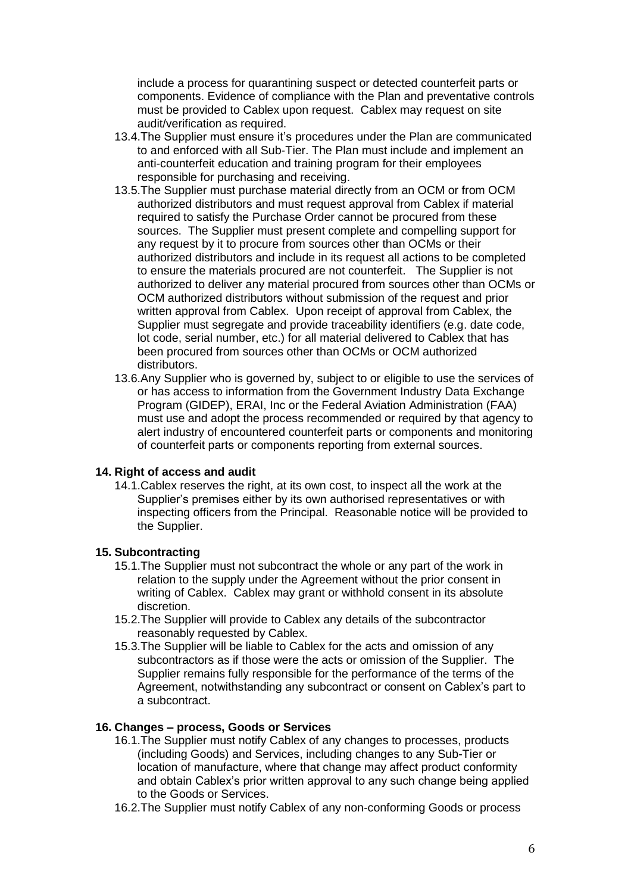include a process for quarantining suspect or detected counterfeit parts or components. Evidence of compliance with the Plan and preventative controls must be provided to Cablex upon request. Cablex may request on site audit/verification as required.

- 13.4.The Supplier must ensure it's procedures under the Plan are communicated to and enforced with all Sub-Tier. The Plan must include and implement an anti-counterfeit education and training program for their employees responsible for purchasing and receiving.
- 13.5.The Supplier must purchase material directly from an OCM or from OCM authorized distributors and must request approval from Cablex if material required to satisfy the Purchase Order cannot be procured from these sources. The Supplier must present complete and compelling support for any request by it to procure from sources other than OCMs or their authorized distributors and include in its request all actions to be completed to ensure the materials procured are not counterfeit. The Supplier is not authorized to deliver any material procured from sources other than OCMs or OCM authorized distributors without submission of the request and prior written approval from Cablex. Upon receipt of approval from Cablex, the Supplier must segregate and provide traceability identifiers (e.g. date code, lot code, serial number, etc.) for all material delivered to Cablex that has been procured from sources other than OCMs or OCM authorized distributors.
- 13.6.Any Supplier who is governed by, subject to or eligible to use the services of or has access to information from the Government Industry Data Exchange Program (GIDEP), ERAI, Inc or the Federal Aviation Administration (FAA) must use and adopt the process recommended or required by that agency to alert industry of encountered counterfeit parts or components and monitoring of counterfeit parts or components reporting from external sources.

### **14. Right of access and audit**

14.1.Cablex reserves the right, at its own cost, to inspect all the work at the Supplier's premises either by its own authorised representatives or with inspecting officers from the Principal. Reasonable notice will be provided to the Supplier.

### **15. Subcontracting**

- 15.1.The Supplier must not subcontract the whole or any part of the work in relation to the supply under the Agreement without the prior consent in writing of Cablex. Cablex may grant or withhold consent in its absolute discretion.
- 15.2.The Supplier will provide to Cablex any details of the subcontractor reasonably requested by Cablex.
- 15.3.The Supplier will be liable to Cablex for the acts and omission of any subcontractors as if those were the acts or omission of the Supplier. The Supplier remains fully responsible for the performance of the terms of the Agreement, notwithstanding any subcontract or consent on Cablex's part to a subcontract.

### <span id="page-5-0"></span>**16. Changes – process, Goods or Services**

- 16.1.The Supplier must notify Cablex of any changes to processes, products (including Goods) and Services, including changes to any Sub-Tier or location of manufacture, where that change may affect product conformity and obtain Cablex's prior written approval to any such change being applied to the Goods or Services.
- 16.2.The Supplier must notify Cablex of any non-conforming Goods or process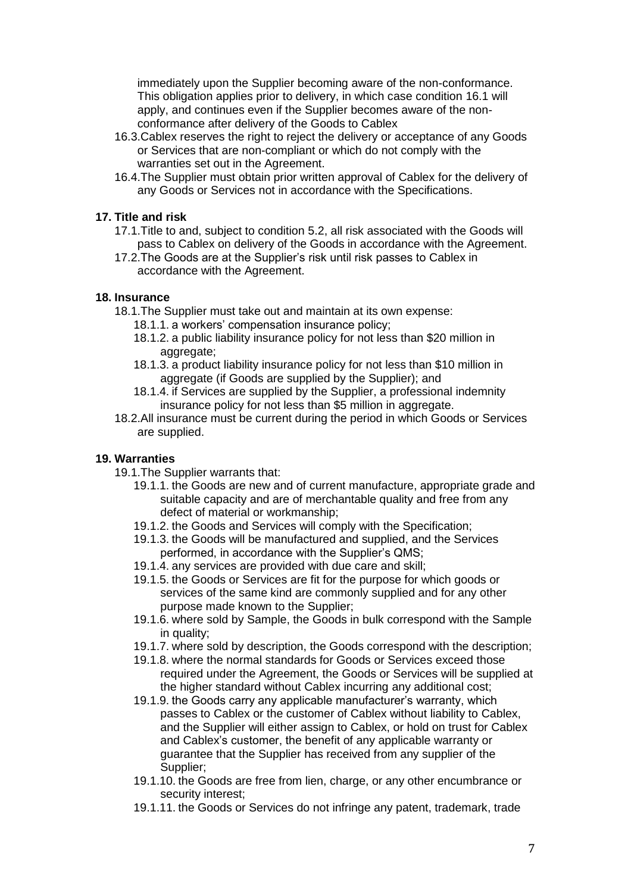immediately upon the Supplier becoming aware of the non-conformance. This obligation applies prior to delivery, in which case condition [16.1](#page-5-0) will apply, and continues even if the Supplier becomes aware of the nonconformance after delivery of the Goods to Cablex

- 16.3.Cablex reserves the right to reject the delivery or acceptance of any Goods or Services that are non-compliant or which do not comply with the warranties set out in the Agreement.
- 16.4.The Supplier must obtain prior written approval of Cablex for the delivery of any Goods or Services not in accordance with the Specifications.

### **17. Title and risk**

- 17.1.Title to and, subject to condition [5.2,](#page-2-2) all risk associated with the Goods will pass to Cablex on delivery of the Goods in accordance with the Agreement.
- 17.2.The Goods are at the Supplier's risk until risk passes to Cablex in accordance with the Agreement.

### **18. Insurance**

- 18.1.The Supplier must take out and maintain at its own expense:
	- 18.1.1. a workers' compensation insurance policy;
	- 18.1.2. a public liability insurance policy for not less than \$20 million in aggregate;
	- 18.1.3. a product liability insurance policy for not less than \$10 million in aggregate (if Goods are supplied by the Supplier); and
	- 18.1.4. if Services are supplied by the Supplier, a professional indemnity insurance policy for not less than \$5 million in aggregate.
- 18.2.All insurance must be current during the period in which Goods or Services are supplied.

# **19. Warranties**

- 19.1.The Supplier warrants that:
	- 19.1.1. the Goods are new and of current manufacture, appropriate grade and suitable capacity and are of merchantable quality and free from any defect of material or workmanship;
	- 19.1.2. the Goods and Services will comply with the Specification;
	- 19.1.3. the Goods will be manufactured and supplied, and the Services performed, in accordance with the Supplier's QMS;
	- 19.1.4. any services are provided with due care and skill;
	- 19.1.5. the Goods or Services are fit for the purpose for which goods or services of the same kind are commonly supplied and for any other purpose made known to the Supplier;
	- 19.1.6. where sold by Sample, the Goods in bulk correspond with the Sample in quality;
	- 19.1.7. where sold by description, the Goods correspond with the description;
	- 19.1.8. where the normal standards for Goods or Services exceed those required under the Agreement, the Goods or Services will be supplied at the higher standard without Cablex incurring any additional cost;
	- 19.1.9. the Goods carry any applicable manufacturer's warranty, which passes to Cablex or the customer of Cablex without liability to Cablex, and the Supplier will either assign to Cablex, or hold on trust for Cablex and Cablex's customer, the benefit of any applicable warranty or guarantee that the Supplier has received from any supplier of the Supplier;
	- 19.1.10. the Goods are free from lien, charge, or any other encumbrance or security interest;
	- 19.1.11. the Goods or Services do not infringe any patent, trademark, trade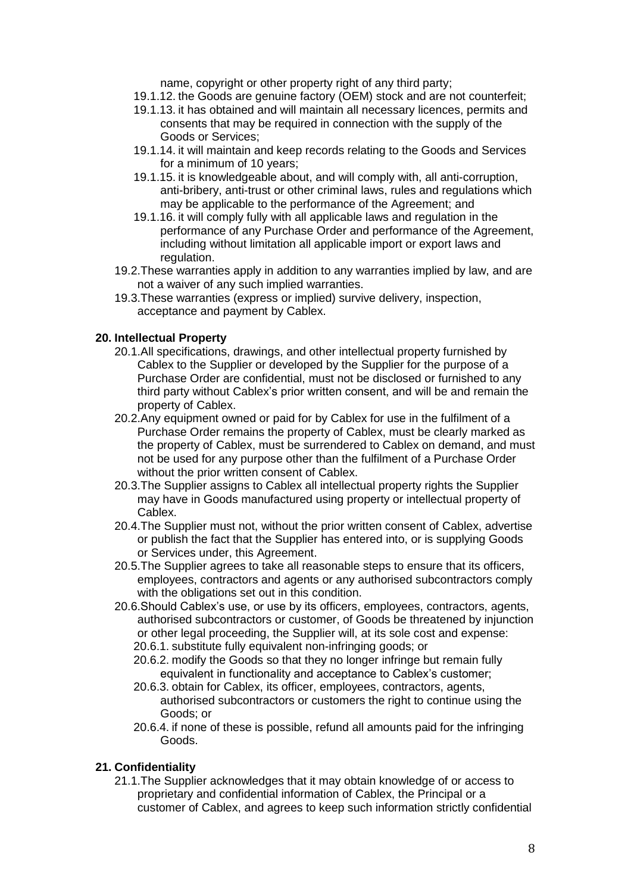name, copyright or other property right of any third party;

- 19.1.12. the Goods are genuine factory (OEM) stock and are not counterfeit;
- 19.1.13. it has obtained and will maintain all necessary licences, permits and consents that may be required in connection with the supply of the Goods or Services;
- 19.1.14. it will maintain and keep records relating to the Goods and Services for a minimum of 10 years;
- 19.1.15. it is knowledgeable about, and will comply with, all anti-corruption, anti-bribery, anti-trust or other criminal laws, rules and regulations which may be applicable to the performance of the Agreement; and
- 19.1.16. it will comply fully with all applicable laws and regulation in the performance of any Purchase Order and performance of the Agreement, including without limitation all applicable import or export laws and regulation.
- 19.2.These warranties apply in addition to any warranties implied by law, and are not a waiver of any such implied warranties.
- 19.3.These warranties (express or implied) survive delivery, inspection, acceptance and payment by Cablex.

### **20. Intellectual Property**

- 20.1.All specifications, drawings, and other intellectual property furnished by Cablex to the Supplier or developed by the Supplier for the purpose of a Purchase Order are confidential, must not be disclosed or furnished to any third party without Cablex's prior written consent, and will be and remain the property of Cablex.
- 20.2.Any equipment owned or paid for by Cablex for use in the fulfilment of a Purchase Order remains the property of Cablex, must be clearly marked as the property of Cablex, must be surrendered to Cablex on demand, and must not be used for any purpose other than the fulfilment of a Purchase Order without the prior written consent of Cablex.
- 20.3.The Supplier assigns to Cablex all intellectual property rights the Supplier may have in Goods manufactured using property or intellectual property of Cablex.
- 20.4.The Supplier must not, without the prior written consent of Cablex, advertise or publish the fact that the Supplier has entered into, or is supplying Goods or Services under, this Agreement.
- 20.5.The Supplier agrees to take all reasonable steps to ensure that its officers, employees, contractors and agents or any authorised subcontractors comply with the obligations set out in this condition.
- 20.6.Should Cablex's use, or use by its officers, employees, contractors, agents, authorised subcontractors or customer, of Goods be threatened by injunction or other legal proceeding, the Supplier will, at its sole cost and expense: 20.6.1. substitute fully equivalent non-infringing goods; or
	- 20.6.2. modify the Goods so that they no longer infringe but remain fully equivalent in functionality and acceptance to Cablex's customer;
	- 20.6.3. obtain for Cablex, its officer, employees, contractors, agents, authorised subcontractors or customers the right to continue using the Goods; or
	- 20.6.4. if none of these is possible, refund all amounts paid for the infringing Goods.

### **21. Confidentiality**

21.1.The Supplier acknowledges that it may obtain knowledge of or access to proprietary and confidential information of Cablex, the Principal or a customer of Cablex, and agrees to keep such information strictly confidential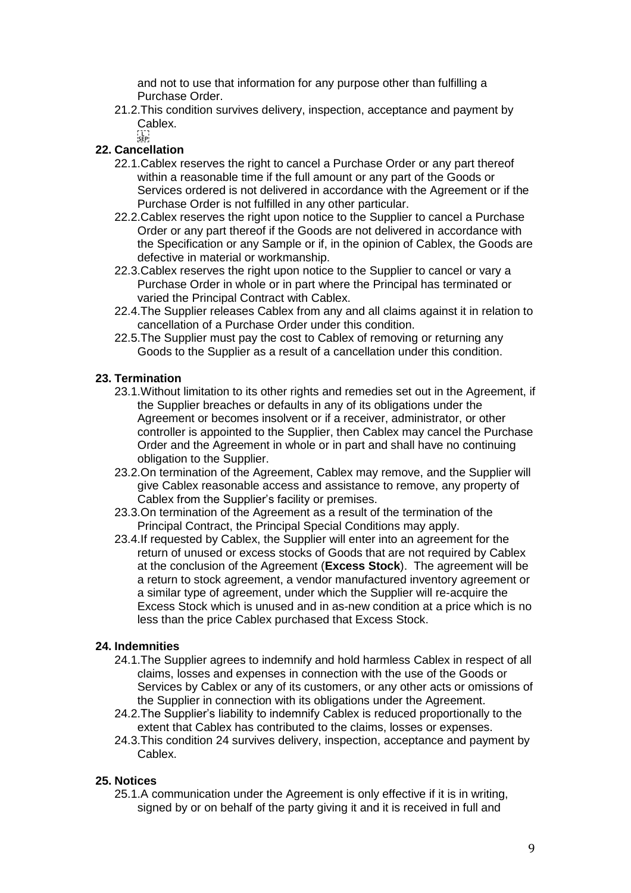and not to use that information for any purpose other than fulfilling a Purchase Order.

21.2.This condition survives delivery, inspection, acceptance and payment by Cablex.

 $\sum_{i\leq k\leq n}$ 

# **22. Cancellation**

- 22.1.Cablex reserves the right to cancel a Purchase Order or any part thereof within a reasonable time if the full amount or any part of the Goods or Services ordered is not delivered in accordance with the Agreement or if the Purchase Order is not fulfilled in any other particular.
- 22.2.Cablex reserves the right upon notice to the Supplier to cancel a Purchase Order or any part thereof if the Goods are not delivered in accordance with the Specification or any Sample or if, in the opinion of Cablex, the Goods are defective in material or workmanship.
- 22.3.Cablex reserves the right upon notice to the Supplier to cancel or vary a Purchase Order in whole or in part where the Principal has terminated or varied the Principal Contract with Cablex.
- 22.4.The Supplier releases Cablex from any and all claims against it in relation to cancellation of a Purchase Order under this condition.
- 22.5.The Supplier must pay the cost to Cablex of removing or returning any Goods to the Supplier as a result of a cancellation under this condition.

# **23. Termination**

- 23.1.Without limitation to its other rights and remedies set out in the Agreement, if the Supplier breaches or defaults in any of its obligations under the Agreement or becomes insolvent or if a receiver, administrator, or other controller is appointed to the Supplier, then Cablex may cancel the Purchase Order and the Agreement in whole or in part and shall have no continuing obligation to the Supplier.
- 23.2.On termination of the Agreement, Cablex may remove, and the Supplier will give Cablex reasonable access and assistance to remove, any property of Cablex from the Supplier's facility or premises.
- 23.3.On termination of the Agreement as a result of the termination of the Principal Contract, the Principal Special Conditions may apply.
- 23.4.If requested by Cablex, the Supplier will enter into an agreement for the return of unused or excess stocks of Goods that are not required by Cablex at the conclusion of the Agreement (**Excess Stock**). The agreement will be a return to stock agreement, a vendor manufactured inventory agreement or a similar type of agreement, under which the Supplier will re-acquire the Excess Stock which is unused and in as-new condition at a price which is no less than the price Cablex purchased that Excess Stock.

# <span id="page-8-0"></span>**24. Indemnities**

- 24.1.The Supplier agrees to indemnify and hold harmless Cablex in respect of all claims, losses and expenses in connection with the use of the Goods or Services by Cablex or any of its customers, or any other acts or omissions of the Supplier in connection with its obligations under the Agreement.
- 24.2.The Supplier's liability to indemnify Cablex is reduced proportionally to the extent that Cablex has contributed to the claims, losses or expenses.
- 24.3.This condition [24](#page-8-0) survives delivery, inspection, acceptance and payment by Cablex.

# **25. Notices**

25.1.A communication under the Agreement is only effective if it is in writing, signed by or on behalf of the party giving it and it is received in full and